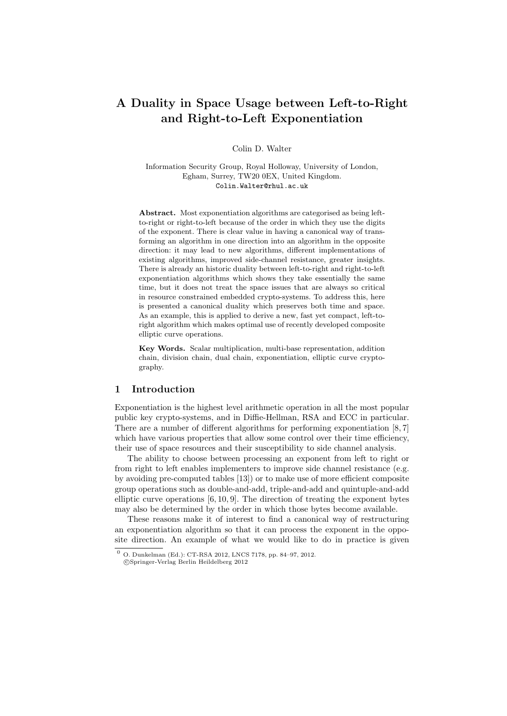# A Duality in Space Usage between Left-to-Right and Right-to-Left Exponentiation

#### Colin D. Walter

Information Security Group, Royal Holloway, University of London, Egham, Surrey, TW20 0EX, United Kingdom. Colin.Walter@rhul.ac.uk

Abstract. Most exponentiation algorithms are categorised as being leftto-right or right-to-left because of the order in which they use the digits of the exponent. There is clear value in having a canonical way of transforming an algorithm in one direction into an algorithm in the opposite direction: it may lead to new algorithms, different implementations of existing algorithms, improved side-channel resistance, greater insights. There is already an historic duality between left-to-right and right-to-left exponentiation algorithms which shows they take essentially the same time, but it does not treat the space issues that are always so critical in resource constrained embedded crypto-systems. To address this, here is presented a canonical duality which preserves both time and space. As an example, this is applied to derive a new, fast yet compact, left-toright algorithm which makes optimal use of recently developed composite elliptic curve operations.

Key Words. Scalar multiplication, multi-base representation, addition chain, division chain, dual chain, exponentiation, elliptic curve cryptography.

## 1 Introduction

Exponentiation is the highest level arithmetic operation in all the most popular public key crypto-systems, and in Diffie-Hellman, RSA and ECC in particular. There are a number of different algorithms for performing exponentiation [8, 7] which have various properties that allow some control over their time efficiency, their use of space resources and their susceptibility to side channel analysis.

The ability to choose between processing an exponent from left to right or from right to left enables implementers to improve side channel resistance (e.g. by avoiding pre-computed tables [13]) or to make use of more efficient composite group operations such as double-and-add, triple-and-add and quintuple-and-add elliptic curve operations [6, 10, 9]. The direction of treating the exponent bytes may also be determined by the order in which those bytes become available.

These reasons make it of interest to find a canonical way of restructuring an exponentiation algorithm so that it can process the exponent in the opposite direction. An example of what we would like to do in practice is given

<sup>0</sup> O. Dunkelman (Ed.): CT-RSA 2012, LNCS 7178, pp. 84–97, 2012.

c Springer-Verlag Berlin Heildelberg 2012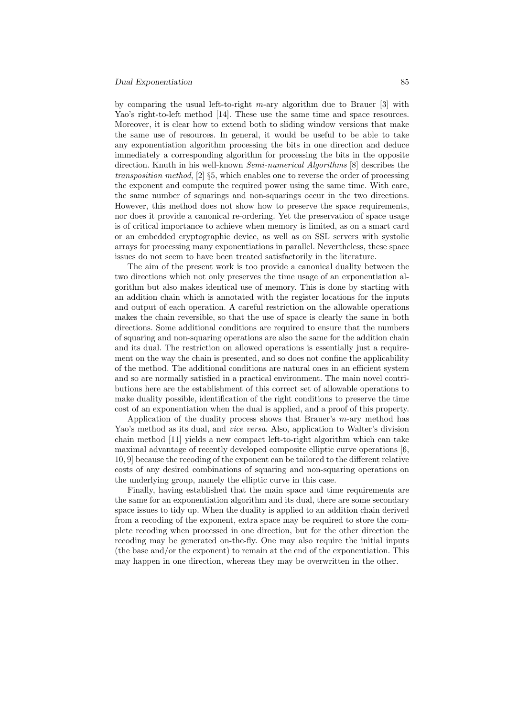by comparing the usual left-to-right  $m$ -ary algorithm due to Brauer [3] with Yao's right-to-left method [14]. These use the same time and space resources. Moreover, it is clear how to extend both to sliding window versions that make the same use of resources. In general, it would be useful to be able to take any exponentiation algorithm processing the bits in one direction and deduce immediately a corresponding algorithm for processing the bits in the opposite direction. Knuth in his well-known Semi-numerical Algorithms [8] describes the transposition method, [2] §5, which enables one to reverse the order of processing the exponent and compute the required power using the same time. With care, the same number of squarings and non-squarings occur in the two directions. However, this method does not show how to preserve the space requirements, nor does it provide a canonical re-ordering. Yet the preservation of space usage is of critical importance to achieve when memory is limited, as on a smart card or an embedded cryptographic device, as well as on SSL servers with systolic arrays for processing many exponentiations in parallel. Nevertheless, these space issues do not seem to have been treated satisfactorily in the literature.

The aim of the present work is too provide a canonical duality between the two directions which not only preserves the time usage of an exponentiation algorithm but also makes identical use of memory. This is done by starting with an addition chain which is annotated with the register locations for the inputs and output of each operation. A careful restriction on the allowable operations makes the chain reversible, so that the use of space is clearly the same in both directions. Some additional conditions are required to ensure that the numbers of squaring and non-squaring operations are also the same for the addition chain and its dual. The restriction on allowed operations is essentially just a requirement on the way the chain is presented, and so does not confine the applicability of the method. The additional conditions are natural ones in an efficient system and so are normally satisfied in a practical environment. The main novel contributions here are the establishment of this correct set of allowable operations to make duality possible, identification of the right conditions to preserve the time cost of an exponentiation when the dual is applied, and a proof of this property.

Application of the duality process shows that Brauer's m-ary method has Yao's method as its dual, and *vice versa*. Also, application to Walter's division chain method [11] yields a new compact left-to-right algorithm which can take maximal advantage of recently developed composite elliptic curve operations [6, 10, 9] because the recoding of the exponent can be tailored to the different relative costs of any desired combinations of squaring and non-squaring operations on the underlying group, namely the elliptic curve in this case.

Finally, having established that the main space and time requirements are the same for an exponentiation algorithm and its dual, there are some secondary space issues to tidy up. When the duality is applied to an addition chain derived from a recoding of the exponent, extra space may be required to store the complete recoding when processed in one direction, but for the other direction the recoding may be generated on-the-fly. One may also require the initial inputs (the base and/or the exponent) to remain at the end of the exponentiation. This may happen in one direction, whereas they may be overwritten in the other.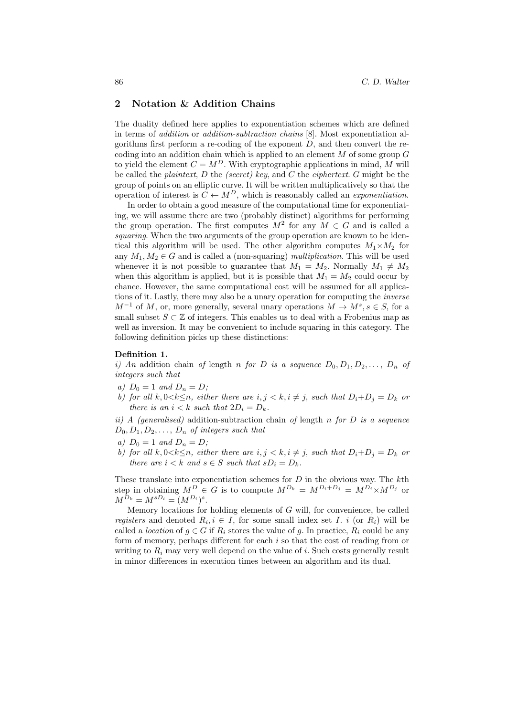## 2 Notation & Addition Chains

The duality defined here applies to exponentiation schemes which are defined in terms of addition or addition-subtraction chains [8]. Most exponentiation algorithms first perform a re-coding of the exponent  $D$ , and then convert the recoding into an addition chain which is applied to an element  $M$  of some group  $G$ to yield the element  $C = M^D$ . With cryptographic applications in mind, M will be called the *plaintext*,  $D$  the *(secret)* key, and  $C$  the *ciphertext*,  $G$  might be the group of points on an elliptic curve. It will be written multiplicatively so that the operation of interest is  $C \leftarrow M^D$ , which is reasonably called an *exponentiation*.

In order to obtain a good measure of the computational time for exponentiating, we will assume there are two (probably distinct) algorithms for performing the group operation. The first computes  $M^2$  for any  $M \in G$  and is called a squaring. When the two arguments of the group operation are known to be identical this algorithm will be used. The other algorithm computes  $M_1 \times M_2$  for any  $M_1, M_2 \in G$  and is called a (non-squaring) *multiplication*. This will be used whenever it is not possible to guarantee that  $M_1 = M_2$ . Normally  $M_1 \neq M_2$ when this algorithm is applied, but it is possible that  $M_1 = M_2$  could occur by chance. However, the same computational cost will be assumed for all applications of it. Lastly, there may also be a unary operation for computing the inverse  $M^{-1}$  of M, or, more generally, several unary operations  $M \to M^s, s \in S$ , for a small subset  $S \subset \mathbb{Z}$  of integers. This enables us to deal with a Frobenius map as well as inversion. It may be convenient to include squaring in this category. The following definition picks up these distinctions:

### Definition 1.

i) An addition chain of length n for D is a sequence  $D_0, D_1, D_2, \ldots, D_n$  of integers such that

- a)  $D_0 = 1$  and  $D_n = D$ ;
- b) for all  $k, 0 < k \leq n$ , either there are  $i, j < k, i \neq j$ , such that  $D_i + D_j = D_k$  or there is an  $i < k$  such that  $2D_i = D_k$ .

ii) A (generalised) addition-subtraction chain of length n for  $D$  is a sequence  $D_0, D_1, D_2, \ldots, D_n$  of integers such that

- a)  $D_0 = 1$  and  $D_n = D$ ;
- b) for all  $k, 0 < k \leq n$ , either there are  $i, j < k, i \neq j$ , such that  $D_i + D_j = D_k$  or there are  $i < k$  and  $s \in S$  such that  $sD_i = D_k$ .

These translate into exponentiation schemes for  $D$  in the obvious way. The  $k$ th step in obtaining  $M^D \in G$  is to compute  $M^{D_k} = M^{D_i+D_j} = M^{D_i} \times M^{D_j}$  or  $M^{D_k} = M^{sD_i} = (M^{D_i})^s.$ 

Memory locations for holding elements of G will, for convenience, be called registers and denoted  $R_i, i \in I$ , for some small index set I. i (or  $R_i$ ) will be called a *location* of  $g \in G$  if  $R_i$  stores the value of g. In practice,  $R_i$  could be any form of memory, perhaps different for each i so that the cost of reading from or writing to  $R_i$  may very well depend on the value of i. Such costs generally result in minor differences in execution times between an algorithm and its dual.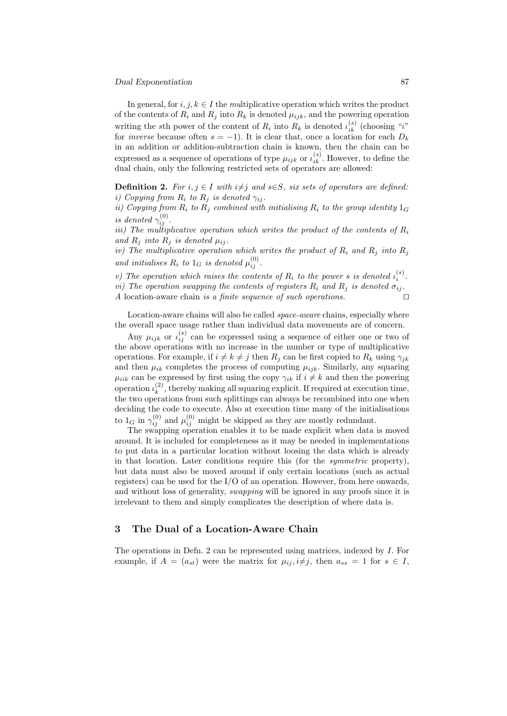#### Dual Exponentiation 87

In general, for  $i, j, k \in I$  the multiplicative operation which writes the product of the contents of  $R_i$  and  $R_j$  into  $R_k$  is denoted  $\mu_{ijk}$ , and the powering operation writing the sth power of the content of  $R_i$  into  $R_k$  is denoted  $\iota_{ik}^{(s)}$  (choosing " $\iota$ " for *inverse* because often  $s = -1$ ). It is clear that, once a location for each  $D_k$ in an addition or addition-subtraction chain is known, then the chain can be expressed as a sequence of operations of type  $\mu_{ijk}$  or  $\iota_{ik}^{(s)}$ . However, to define the dual chain, only the following restricted sets of operators are allowed:

**Definition 2.** For  $i, j \in I$  with  $i \neq j$  and  $s \in S$ , six sets of operators are defined: i) Copying from  $R_i$  to  $R_j$  is denoted  $\gamma_{ij}$ .

ii) Copying from  $R_i$  to  $R_j$  combined with initialising  $R_i$  to the group identity  $1_G$ is denoted  $\gamma_{ij}^{(0)}$ .

iii) The multiplicative operation which writes the product of the contents of  $R_i$ and  $R_i$  into  $R_i$  is denoted  $\mu_{ij}$ .

iv) The multiplicative operation which writes the product of  $R_i$  and  $R_j$  into  $R_j$ and initialises  $R_i$  to  $1_G$  is denoted  $\mu_{ij}^{(0)}$ .

v) The operation which raises the contents of  $R_i$  to the power s is denoted  $\iota_i^{(s)}$ . vi) The operation swapping the contents of registers  $R_i$  and  $R_j$  is denoted  $\sigma_{ij}$ . A location-aware chain is a finite sequence of such operations.

Location-aware chains will also be called *space-aware* chains, especially where the overall space usage rather than individual data movements are of concern.

Any  $\mu_{ijk}$  or  $\iota_{ij}^{(s)}$  can be expressed using a sequence of either one or two of the above operations with no increase in the number or type of multiplicative operations. For example, if  $i \neq k \neq j$  then  $R_j$  can be first copied to  $R_k$  using  $\gamma_{jk}$ and then  $\mu_{ik}$  completes the process of computing  $\mu_{ijk}$ . Similarly, any squaring  $\mu_{iik}$  can be expressed by first using the copy  $\gamma_{ik}$  if  $i \neq k$  and then the powering operation  $\iota_k^{(2)}$  $k<sup>(2)</sup>$ , thereby making all squaring explicit. If required at execution time, the two operations from such splittings can always be recombined into one when deciding the code to execute. Also at execution time many of the initialisations to  $1_G$  in  $\gamma_{ij}^{(0)}$  and  $\mu_{ij}^{(0)}$  might be skipped as they are mostly redundant.

The swapping operation enables it to be made explicit when data is moved around. It is included for completeness as it may be needed in implementations to put data in a particular location without loosing the data which is already in that location. Later conditions require this (for the symmetric property), but data must also be moved around if only certain locations (such as actual registers) can be used for the I/O of an operation. However, from here onwards, and without loss of generality, swapping will be ignored in any proofs since it is irrelevant to them and simply complicates the description of where data is.

## 3 The Dual of a Location-Aware Chain

The operations in Defn. 2 can be represented using matrices, indexed by I. For example, if  $A = (a_{st})$  were the matrix for  $\mu_{ij}, i \neq j$ , then  $a_{ss} = 1$  for  $s \in I$ ,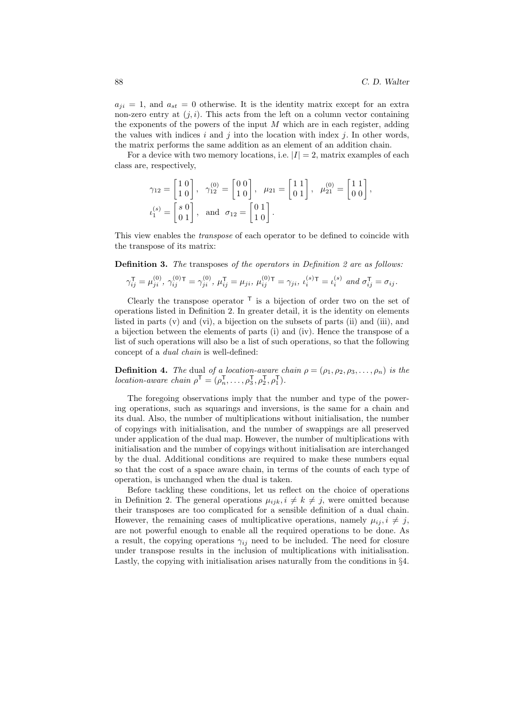$a_{ji} = 1$ , and  $a_{st} = 0$  otherwise. It is the identity matrix except for an extra non-zero entry at  $(j, i)$ . This acts from the left on a column vector containing the exponents of the powers of the input  $M$  which are in each register, adding the values with indices i and j into the location with index j. In other words, the matrix performs the same addition as an element of an addition chain.

For a device with two memory locations, i.e.  $|I| = 2$ , matrix examples of each class are, respectively,

$$
\gamma_{12} = \begin{bmatrix} 1 & 0 \\ 1 & 0 \end{bmatrix}, \quad \gamma_{12}^{(0)} = \begin{bmatrix} 0 & 0 \\ 1 & 0 \end{bmatrix}, \quad \mu_{21} = \begin{bmatrix} 1 & 1 \\ 0 & 1 \end{bmatrix}, \quad \mu_{21}^{(0)} = \begin{bmatrix} 1 & 1 \\ 0 & 0 \end{bmatrix},
$$

$$
\iota_1^{(s)} = \begin{bmatrix} s & 0 \\ 0 & 1 \end{bmatrix}, \quad \text{and} \quad \sigma_{12} = \begin{bmatrix} 0 & 1 \\ 1 & 0 \end{bmatrix}.
$$

This view enables the *transpose* of each operator to be defined to coincide with the transpose of its matrix:

**Definition 3.** The transposes of the operators in Definition 2 are as follows:

$$
\gamma_{ij}^{\mathsf{T}} = \mu_{ji}^{(0)}, \ \gamma_{ij}^{(0)\mathsf{T}} = \gamma_{ji}^{(0)}, \ \mu_{ij}^{\mathsf{T}} = \mu_{ji}, \ \mu_{ij}^{(0)\mathsf{T}} = \gamma_{ji}, \ \nu_{i}^{(s)\mathsf{T}} = \nu_{i}^{(s)} \ \text{and} \ \sigma_{ij}^{\mathsf{T}} = \sigma_{ij}.
$$

Clearly the transpose operator  $\mathsf{\Gamma}$  is a bijection of order two on the set of operations listed in Definition 2. In greater detail, it is the identity on elements listed in parts (v) and (vi), a bijection on the subsets of parts (ii) and (iii), and a bijection between the elements of parts (i) and (iv). Hence the transpose of a list of such operations will also be a list of such operations, so that the following concept of a dual chain is well-defined:

**Definition 4.** The dual of a location-aware chain  $\rho = (\rho_1, \rho_2, \rho_3, \dots, \rho_n)$  is the location-aware chain  $\rho^{\mathsf{T}} = (\rho_n^{\mathsf{T}}, \ldots, \rho_3^{\mathsf{T}}, \rho_2^{\mathsf{T}}, \rho_1^{\mathsf{T}})$ .

The foregoing observations imply that the number and type of the powering operations, such as squarings and inversions, is the same for a chain and its dual. Also, the number of multiplications without initialisation, the number of copyings with initialisation, and the number of swappings are all preserved under application of the dual map. However, the number of multiplications with initialisation and the number of copyings without initialisation are interchanged by the dual. Additional conditions are required to make these numbers equal so that the cost of a space aware chain, in terms of the counts of each type of operation, is unchanged when the dual is taken.

Before tackling these conditions, let us reflect on the choice of operations in Definition 2. The general operations  $\mu_{iik}, i \neq k \neq j$ , were omitted because their transposes are too complicated for a sensible definition of a dual chain. However, the remaining cases of multiplicative operations, namely  $\mu_{ii}, i \neq j$ , are not powerful enough to enable all the required operations to be done. As a result, the copying operations  $\gamma_{ij}$  need to be included. The need for closure under transpose results in the inclusion of multiplications with initialisation. Lastly, the copying with initialisation arises naturally from the conditions in §4.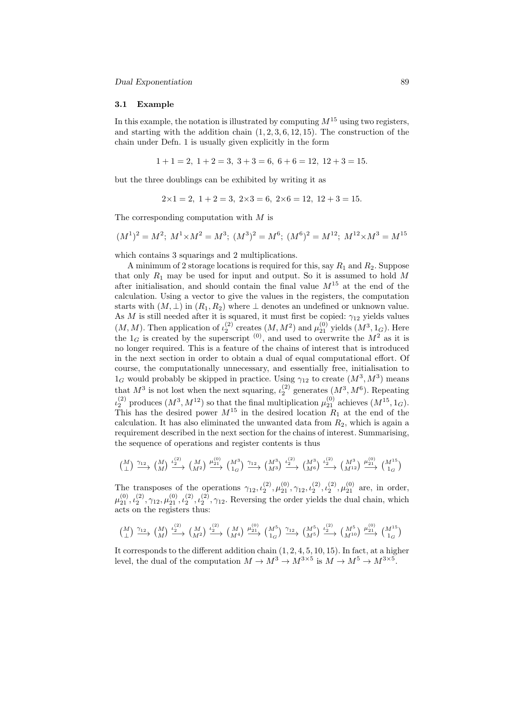#### 3.1 Example

In this example, the notation is illustrated by computing  $M^{15}$  using two registers, and starting with the addition chain  $(1, 2, 3, 6, 12, 15)$ . The construction of the chain under Defn. 1 is usually given explicitly in the form

$$
1+1=2
$$
,  $1+2=3$ ,  $3+3=6$ ,  $6+6=12$ ,  $12+3=15$ .

but the three doublings can be exhibited by writing it as

$$
2 \times 1 = 2
$$
,  $1 + 2 = 3$ ,  $2 \times 3 = 6$ ,  $2 \times 6 = 12$ ,  $12 + 3 = 15$ .

The corresponding computation with M is

$$
(M^1)^2=M^2;\; M^1\times M^2=M^3;\; (M^3)^2=M^6;\; (M^6)^2=M^{12};\; M^{12}\times M^3=M^{15}
$$

which contains 3 squarings and 2 multiplications.

A minimum of 2 storage locations is required for this, say  $R_1$  and  $R_2$ . Suppose that only  $R_1$  may be used for input and output. So it is assumed to hold M after initialisation, and should contain the final value  $M^{15}$  at the end of the calculation. Using a vector to give the values in the registers, the computation starts with  $(M, \perp)$  in  $(R_1, R_2)$  where  $\perp$  denotes an undefined or unknown value. As M is still needed after it is squared, it must first be copied:  $\gamma_{12}$  yields values  $(M, M)$ . Then application of  $\iota_2^{(2)}$  creates  $(M, M^2)$  and  $\mu_{21}^{(0)}$  yields  $(M^3, 1_G)$ . Here the  $1_G$  is created by the superscript <sup>(0)</sup>, and used to overwrite the  $M^2$  as it is no longer required. This is a feature of the chains of interest that is introduced in the next section in order to obtain a dual of equal computational effort. Of course, the computationally unnecessary, and essentially free, initialisation to  $1_G$  would probably be skipped in practice. Using  $\gamma_{12}$  to create  $(M^3, M^3)$  means that  $M^3$  is not lost when the next squaring,  $\iota_2^{(2)}$  generates  $(M^3, M^6)$ . Repeating  $\mu_2^{(2)}$  produces  $(M^3, M^{12})$  so that the final multiplication  $\mu_{21}^{(0)}$  achieves  $(M^{15}, 1_G)$ . This has the desired power  $M^{15}$  in the desired location  $R_1$  at the end of the calculation. It has also eliminated the unwanted data from  $R_2$ , which is again a requirement described in the next section for the chains of interest. Summarising, the sequence of operations and register contents is thus

$$
\begin{pmatrix} M \\ \perp \end{pmatrix} \xrightarrow{\gamma_{12}} \begin{pmatrix} M \\ M \end{pmatrix} \xrightarrow{\iota_2^{(2)}} \begin{pmatrix} M \\ M^2 \end{pmatrix} \xrightarrow{\mu_{21}^{(0)}} \begin{pmatrix} M^3 \\ 1_G \end{pmatrix} \xrightarrow{\gamma_{12}} \begin{pmatrix} M^3 \\ M^3 \end{pmatrix} \xrightarrow{\iota_2^{(2)}} \begin{pmatrix} M^3 \\ M^6 \end{pmatrix} \xrightarrow{\iota_2^{(2)}} \begin{pmatrix} M^3 \\ M^{12} \end{pmatrix} \xrightarrow{\mu_{21}^{(0)}} \begin{pmatrix} M^{15} \\ 1_G \end{pmatrix}
$$

The transposes of the operations  $\gamma_{12}, \iota_2^{(2)}, \mu_{21}^{(0)}, \gamma_{12}, \iota_2^{(2)}, \mu_{21}^{(2)}, \mu_{21}^{(0)}$  are, in order,  $\mu_{21}^{(0)}, \mu_{2}^{(2)}, \gamma_{12}, \mu_{21}^{(0)}, \mu_{2}^{(2)}, \gamma_{12}$ . Reversing the order yields the dual chain, which acts on the registers thus:

$$
\begin{pmatrix} M \\ \perp \end{pmatrix} \xrightarrow{\gamma_{12}} \begin{pmatrix} M \\ M \end{pmatrix} \xrightarrow{\iota_2^{(2)}} \begin{pmatrix} M \\ M^2 \end{pmatrix} \xrightarrow{\iota_2^{(2)}} \begin{pmatrix} M \\ M^4 \end{pmatrix} \xrightarrow{\mu_{21}^{(0)}} \begin{pmatrix} M^5 \\ 1_G \end{pmatrix} \xrightarrow{\gamma_{12}} \begin{pmatrix} M^5 \\ M^5 \end{pmatrix} \xrightarrow{\iota_2^{(2)}} \begin{pmatrix} M^5 \\ M^{10} \end{pmatrix} \xrightarrow{\mu_{21}^{(0)}} \begin{pmatrix} M^{15} \\ 1_G \end{pmatrix}
$$

It corresponds to the different addition chain  $(1, 2, 4, 5, 10, 15)$ . In fact, at a higher level, the dual of the computation  $M \to M^3 \to M^{3 \times 5}$  is  $M \to M^5 \to M^{3 \times 5}$ .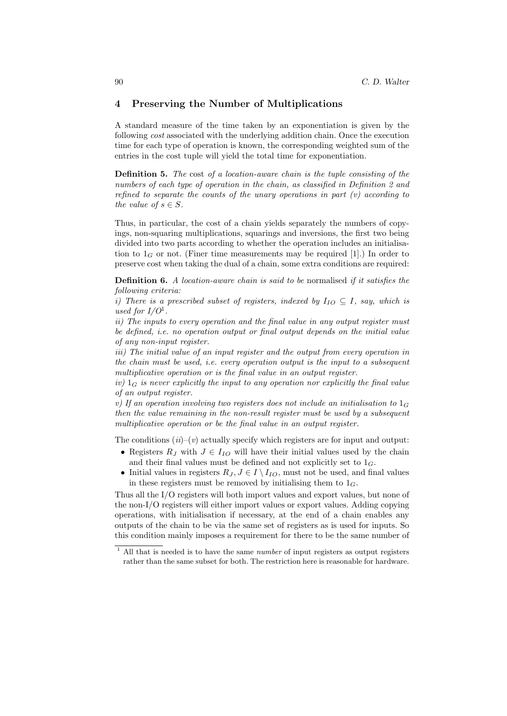# 4 Preserving the Number of Multiplications

A standard measure of the time taken by an exponentiation is given by the following cost associated with the underlying addition chain. Once the execution time for each type of operation is known, the corresponding weighted sum of the entries in the cost tuple will yield the total time for exponentiation.

Definition 5. The cost of a location-aware chain is the tuple consisting of the numbers of each type of operation in the chain, as classified in Definition 2 and refined to separate the counts of the unary operations in part  $(v)$  according to the value of  $s \in S$ .

Thus, in particular, the cost of a chain yields separately the numbers of copyings, non-squaring multiplications, squarings and inversions, the first two being divided into two parts according to whether the operation includes an initialisation to  $1_G$  or not. (Finer time measurements may be required [1].) In order to preserve cost when taking the dual of a chain, some extra conditions are required:

Definition 6. A location-aware chain is said to be normalised if it satisfies the following criteria:

i) There is a prescribed subset of registers, indexed by  $I_{IO} \subseteq I$ , say, which is used for  $I/O^1$ .

ii) The inputs to every operation and the final value in any output register must be defined, i.e. no operation output or final output depends on the initial value of any non-input register.

iii) The initial value of an input register and the output from every operation in the chain must be used, i.e. every operation output is the input to a subsequent multiplicative operation or is the final value in an output register.

iv)  $1_G$  is never explicitly the input to any operation nor explicitly the final value of an output register.

v) If an operation involving two registers does not include an initialisation to  $1_G$ then the value remaining in the non-result register must be used by a subsequent multiplicative operation or be the final value in an output register.

The conditions  $(ii)-(v)$  actually specify which registers are for input and output:

- Registers  $R_J$  with  $J \in I_{IO}$  will have their initial values used by the chain and their final values must be defined and not explicitly set to  $1_G$ .
- Initial values in registers  $R_J, J \in I \setminus I_{IO}$ , must not be used, and final values in these registers must be removed by initialising them to  $1_G$ .

Thus all the I/O registers will both import values and export values, but none of the non-I/O registers will either import values or export values. Adding copying operations, with initialisation if necessary, at the end of a chain enables any outputs of the chain to be via the same set of registers as is used for inputs. So this condition mainly imposes a requirement for there to be the same number of

 $1$  All that is needed is to have the same *number* of input registers as output registers rather than the same subset for both. The restriction here is reasonable for hardware.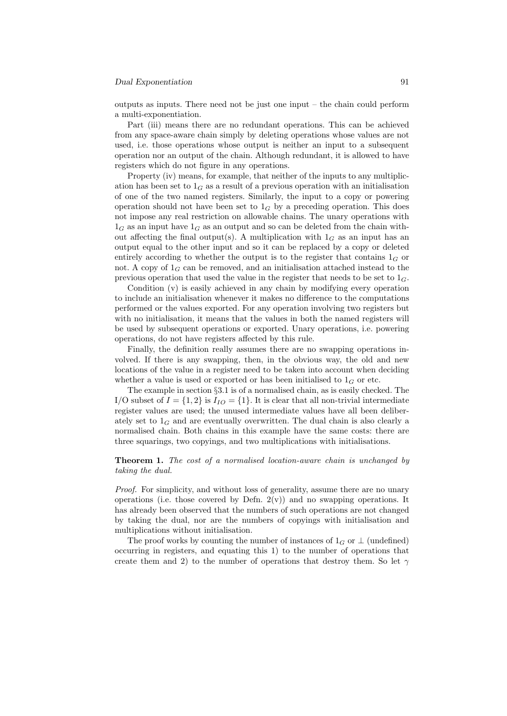#### Dual Exponentiation 91

outputs as inputs. There need not be just one input – the chain could perform a multi-exponentiation.

Part (iii) means there are no redundant operations. This can be achieved from any space-aware chain simply by deleting operations whose values are not used, i.e. those operations whose output is neither an input to a subsequent operation nor an output of the chain. Although redundant, it is allowed to have registers which do not figure in any operations.

Property (iv) means, for example, that neither of the inputs to any multiplication has been set to  $1_G$  as a result of a previous operation with an initialisation of one of the two named registers. Similarly, the input to a copy or powering operation should not have been set to  $1_G$  by a preceding operation. This does not impose any real restriction on allowable chains. The unary operations with  $1_G$  as an input have  $1_G$  as an output and so can be deleted from the chain without affecting the final output(s). A multiplication with  $1_G$  as an input has an output equal to the other input and so it can be replaced by a copy or deleted entirely according to whether the output is to the register that contains  $1_G$  or not. A copy of  $1_G$  can be removed, and an initialisation attached instead to the previous operation that used the value in the register that needs to be set to  $1_G$ .

Condition (v) is easily achieved in any chain by modifying every operation to include an initialisation whenever it makes no difference to the computations performed or the values exported. For any operation involving two registers but with no initialisation, it means that the values in both the named registers will be used by subsequent operations or exported. Unary operations, i.e. powering operations, do not have registers affected by this rule.

Finally, the definition really assumes there are no swapping operations involved. If there is any swapping, then, in the obvious way, the old and new locations of the value in a register need to be taken into account when deciding whether a value is used or exported or has been initialised to  $1_G$  or etc.

The example in section §3.1 is of a normalised chain, as is easily checked. The I/O subset of  $I = \{1, 2\}$  is  $I_{IO} = \{1\}$ . It is clear that all non-trivial intermediate register values are used; the unused intermediate values have all been deliberately set to  $1_G$  and are eventually overwritten. The dual chain is also clearly a normalised chain. Both chains in this example have the same costs: there are three squarings, two copyings, and two multiplications with initialisations.

## Theorem 1. The cost of a normalised location-aware chain is unchanged by taking the dual.

Proof. For simplicity, and without loss of generality, assume there are no unary operations (i.e. those covered by Defn.  $2(v)$ ) and no swapping operations. It has already been observed that the numbers of such operations are not changed by taking the dual, nor are the numbers of copyings with initialisation and multiplications without initialisation.

The proof works by counting the number of instances of  $1_G$  or  $\perp$  (undefined) occurring in registers, and equating this 1) to the number of operations that create them and 2) to the number of operations that destroy them. So let  $\gamma$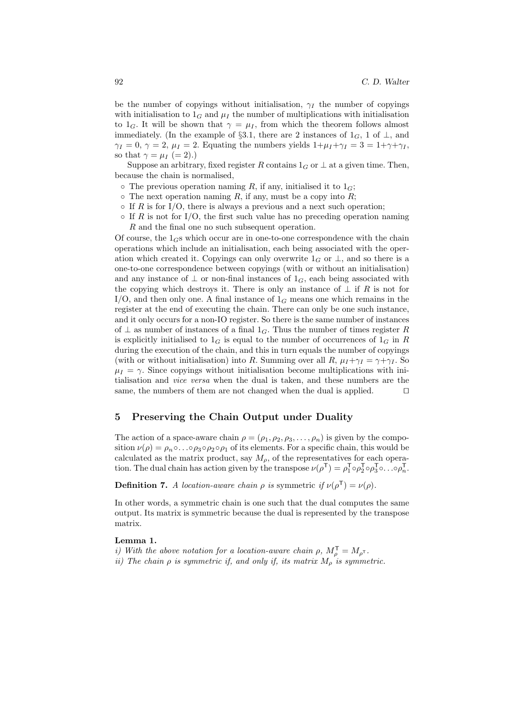be the number of copyings without initialisation,  $\gamma_I$  the number of copyings with initialisation to  $1_G$  and  $\mu_I$  the number of multiplications with initialisation to  $1_G$ . It will be shown that  $\gamma = \mu_I$ , from which the theorem follows almost immediately. (In the example of §3.1, there are 2 instances of  $1_G$ , 1 of  $\perp$ , and  $\gamma_I = 0$ ,  $\gamma = 2$ ,  $\mu_I = 2$ . Equating the numbers yields  $1 + \mu_I + \gamma_I = 3 = 1 + \gamma + \gamma_I$ , so that  $\gamma = \mu_I (= 2)$ .)

Suppose an arbitrary, fixed register R contains  $1_G$  or  $\perp$  at a given time. Then, because the chain is normalised,

- $\circ$  The previous operation naming R, if any, initialised it to  $1_G$ ;
- $\circ$  The next operation naming R, if any, must be a copy into R;
- $\circ$  If R is for I/O, there is always a previous and a next such operation;
- $\circ$  If R is not for I/O, the first such value has no preceding operation naming R and the final one no such subsequent operation.

Of course, the  $1_{\text{GS}}$  which occur are in one-to-one correspondence with the chain operations which include an initialisation, each being associated with the operation which created it. Copyings can only overwrite  $1_G$  or  $\perp$ , and so there is a one-to-one correspondence between copyings (with or without an initialisation) and any instance of  $\perp$  or non-final instances of  $1_G$ , each being associated with the copying which destroys it. There is only an instance of  $\perp$  if R is not for I/O, and then only one. A final instance of  $1_G$  means one which remains in the register at the end of executing the chain. There can only be one such instance, and it only occurs for a non-IO register. So there is the same number of instances of  $\perp$  as number of instances of a final 1<sub>G</sub>. Thus the number of times register R is explicitly initialised to  $1_G$  is equal to the number of occurrences of  $1_G$  in R during the execution of the chain, and this in turn equals the number of copyings (with or without initialisation) into R. Summing over all R,  $\mu_I + \gamma_I = \gamma + \gamma_I$ . So  $\mu_I = \gamma$ . Since copyings without initialisation become multiplications with initialisation and vice versa when the dual is taken, and these numbers are the same, the numbers of them are not changed when the dual is applied.  $\Box$ 

# 5 Preserving the Chain Output under Duality

The action of a space-aware chain  $\rho = (\rho_1, \rho_2, \rho_3, \dots, \rho_n)$  is given by the composition  $\nu(\rho) = \rho_n \circ \dots \circ \rho_3 \circ \rho_2 \circ \rho_1$  of its elements. For a specific chain, this would be calculated as the matrix product, say  $M_{\rho}$ , of the representatives for each operation. The dual chain has action given by the transpose  $\nu(\rho^{\mathsf{T}}) = \rho_1^{\mathsf{T}} \circ \rho_2^{\mathsf{T}} \circ \rho_3^{\mathsf{T}} \circ \ldots \circ \rho_n^{\mathsf{T}}$ .

**Definition 7.** A location-aware chain  $\rho$  is symmetric if  $\nu(\rho^{\mathsf{T}}) = \nu(\rho)$ .

In other words, a symmetric chain is one such that the dual computes the same output. Its matrix is symmetric because the dual is represented by the transpose matrix.

#### Lemma 1.

i) With the above notation for a location-aware chain  $\rho$ ,  $M_{\rho}^{\mathsf{T}} = M_{\rho^{\mathsf{T}}}$ .

ii) The chain  $\rho$  is symmetric if, and only if, its matrix  $M_{\rho}$  is symmetric.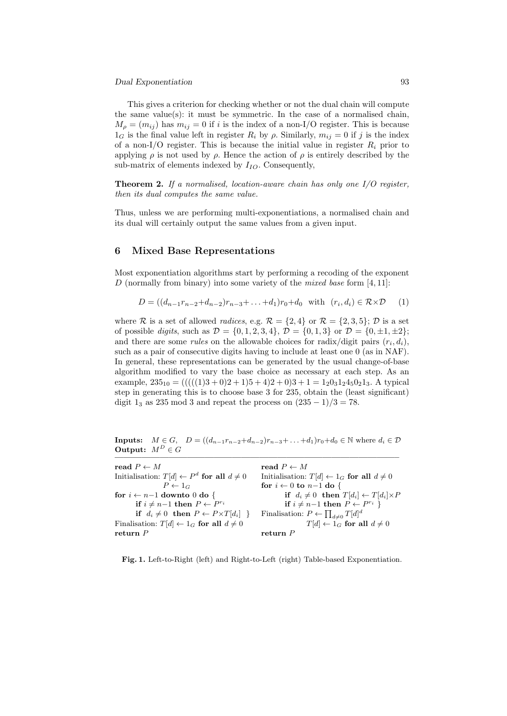This gives a criterion for checking whether or not the dual chain will compute the same value(s): it must be symmetric. In the case of a normalised chain,  $M_{\rho} = (m_{ij})$  has  $m_{ij} = 0$  if i is the index of a non-I/O register. This is because  $1_G$  is the final value left in register  $R_i$  by  $\rho$ . Similarly,  $m_{ij} = 0$  if j is the index of a non-I/O register. This is because the initial value in register  $R_i$  prior to applying  $\rho$  is not used by  $\rho$ . Hence the action of  $\rho$  is entirely described by the sub-matrix of elements indexed by  $I_{IO}$ . Consequently,

**Theorem 2.** If a normalised, location-aware chain has only one  $I/O$  register, then its dual computes the same value.

Thus, unless we are performing multi-exponentiations, a normalised chain and its dual will certainly output the same values from a given input.

# 6 Mixed Base Representations

Most exponentiation algorithms start by performing a recoding of the exponent D (normally from binary) into some variety of the *mixed base* form  $[4, 11]$ :

$$
D = ((d_{n-1}r_{n-2} + d_{n-2})r_{n-3} + ... + d_1)r_0 + d_0 \text{ with } (r_i, d_i) \in \mathcal{R} \times \mathcal{D} \quad (1)
$$

where R is a set of allowed *radices*, e.g.  $\mathcal{R} = \{2, 4\}$  or  $\mathcal{R} = \{2, 3, 5\}$ ; D is a set of possible *digits*, such as  $\mathcal{D} = \{0, 1, 2, 3, 4\}, \mathcal{D} = \{0, 1, 3\}$  or  $\mathcal{D} = \{0, \pm 1, \pm 2\}$ ; and there are some *rules* on the allowable choices for radix/digit pairs  $(r_i, d_i)$ , such as a pair of consecutive digits having to include at least one 0 (as in NAF). In general, these representations can be generated by the usual change-of-base algorithm modified to vary the base choice as necessary at each step. As an example,  $235_{10} = (((((1)3+0)2+1)5+4)2+0)3+1=1_20_31_24_50_21_3$ . A typical step in generating this is to choose base 3 for 235, obtain the (least significant) digit  $1_3$  as 235 mod 3 and repeat the process on  $(235-1)/3 = 78$ .

**Inputs:**  $M \in G$ ,  $D = ((d_{n-1}r_{n-2}+d_{n-2})r_{n-3}+\ldots+d_1)r_0+d_0 \in \mathbb{N}$  where  $d_i \in \mathcal{D}$ Output:  $M^D \in G$ 

| read $P \leftarrow M$                                    | read $P \leftarrow M$                                    |
|----------------------------------------------------------|----------------------------------------------------------|
| Initialisation: $T[d] \leftarrow P^d$ for all $d \neq 0$ | Initialisation: $T[d] \leftarrow 1_G$ for all $d \neq 0$ |
| $P \leftarrow 1_G$                                       | for $i \leftarrow 0$ to $n-1$ do {                       |
| for $i \leftarrow n-1$ downto 0 do {                     | if $d_i \neq 0$ then $T[d_i] \leftarrow T[d_i] \times P$ |
| if $i \neq n-1$ then $P \leftarrow P^{r_i}$              | if $i \neq n-1$ then $P \leftarrow P^{r_i}$              |
| if $d_i \neq 0$ then $P \leftarrow P \times T[d_i]$ }    | Finalisation: $P \leftarrow \prod_{d \neq 0} T[d]^d$     |
| Finalisation: $T[d] \leftarrow 1_G$ for all $d \neq 0$   | $T[d] \leftarrow 1_G$ for all $d \neq 0$                 |
| return $P$                                               | return $P$                                               |
|                                                          |                                                          |

Fig. 1. Left-to-Right (left) and Right-to-Left (right) Table-based Exponentiation.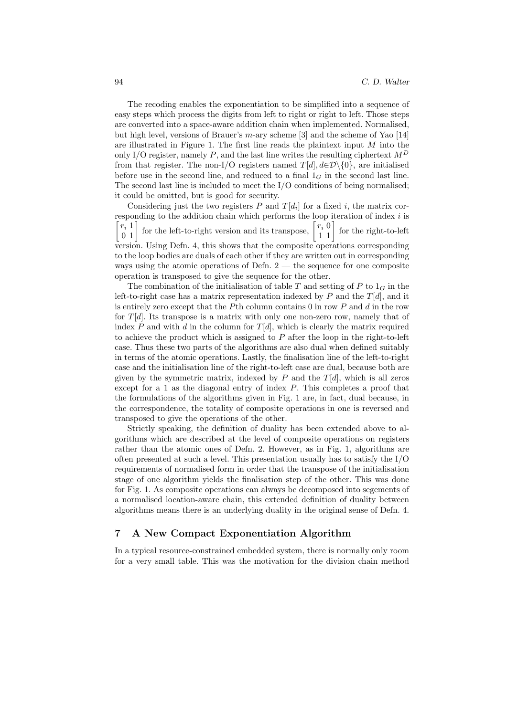The recoding enables the exponentiation to be simplified into a sequence of easy steps which process the digits from left to right or right to left. Those steps are converted into a space-aware addition chain when implemented. Normalised, but high level, versions of Brauer's  $m$ -ary scheme [3] and the scheme of Yao [14] are illustrated in Figure 1. The first line reads the plaintext input  $M$  into the only I/O register, namely P, and the last line writes the resulting ciphertext  $M<sup>D</sup>$ from that register. The non-I/O registers named  $T[d], d \in \mathcal{D}\backslash\{0\}$ , are initialised before use in the second line, and reduced to a final  $1_G$  in the second last line. The second last line is included to meet the I/O conditions of being normalised; it could be omitted, but is good for security.

Considering just the two registers  $P$  and  $T[d_i]$  for a fixed i, the matrix corresponding to the addition chain which performs the loop iteration of index  $i$  is  $\lceil r_i \rceil$ 0 1 for the left-to-right version and its transpose,  $\begin{bmatrix} r_i & 0 \\ 1 & 1 \end{bmatrix}$  for the right-to-left version. Using Defn. 4, this shows that the composite operations corresponding to the loop bodies are duals of each other if they are written out in corresponding ways using the atomic operations of Defn.  $2$  — the sequence for one composite operation is transposed to give the sequence for the other.

The combination of the initialisation of table T and setting of P to  $1_G$  in the left-to-right case has a matrix representation indexed by  $P$  and the  $T[d]$ , and it is entirely zero except that the Pth column contains  $0$  in row P and  $d$  in the row for  $T[d]$ . Its transpose is a matrix with only one non-zero row, namely that of index  $P$  and with  $d$  in the column for  $T[d]$ , which is clearly the matrix required to achieve the product which is assigned to P after the loop in the right-to-left case. Thus these two parts of the algorithms are also dual when defined suitably in terms of the atomic operations. Lastly, the finalisation line of the left-to-right case and the initialisation line of the right-to-left case are dual, because both are given by the symmetric matrix, indexed by  $P$  and the  $T[d]$ , which is all zeros except for a 1 as the diagonal entry of index P. This completes a proof that the formulations of the algorithms given in Fig. 1 are, in fact, dual because, in the correspondence, the totality of composite operations in one is reversed and transposed to give the operations of the other.

Strictly speaking, the definition of duality has been extended above to algorithms which are described at the level of composite operations on registers rather than the atomic ones of Defn. 2. However, as in Fig. 1, algorithms are often presented at such a level. This presentation usually has to satisfy the I/O requirements of normalised form in order that the transpose of the initialisation stage of one algorithm yields the finalisation step of the other. This was done for Fig. 1. As composite operations can always be decomposed into segements of a normalised location-aware chain, this extended definition of duality between algorithms means there is an underlying duality in the original sense of Defn. 4.

# 7 A New Compact Exponentiation Algorithm

In a typical resource-constrained embedded system, there is normally only room for a very small table. This was the motivation for the division chain method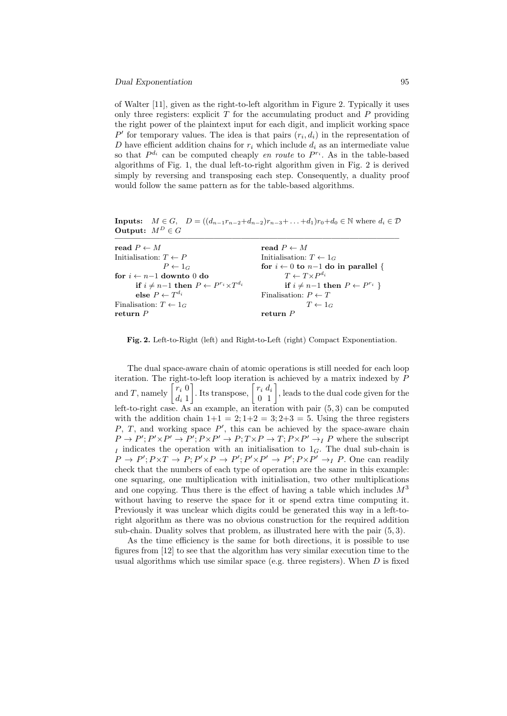of Walter [11], given as the right-to-left algorithm in Figure 2. Typically it uses only three registers: explicit  $T$  for the accumulating product and  $P$  providing the right power of the plaintext input for each digit, and implicit working space  $P'$  for temporary values. The idea is that pairs  $(r_i, d_i)$  in the representation of D have efficient addition chains for  $r_i$  which include  $d_i$  as an intermediate value so that  $P^{d_i}$  can be computed cheaply en route to  $P^{r_i}$ . As in the table-based algorithms of Fig. 1, the dual left-to-right algorithm given in Fig. 2 is derived simply by reversing and transposing each step. Consequently, a duality proof would follow the same pattern as for the table-based algorithms.

**Inputs:**  $M \in G$ ,  $D = ((d_{n-1}r_{n-2}+d_{n-2})r_{n-3}+\ldots+d_1)r_0+d_0 \in \mathbb{N}$  where  $d_i \in \mathcal{D}$ Output:  $M^D \in G$ 

| read $P \leftarrow M$                                      | read $P \leftarrow M$                          |
|------------------------------------------------------------|------------------------------------------------|
| Initialisation: $T \leftarrow P$                           | Initialisation: $T \leftarrow 1_G$             |
| $P \leftarrow 1_G$                                         | for $i \leftarrow 0$ to $n-1$ do in parallel { |
| for $i \leftarrow n-1$ downto 0 do                         | $T \leftarrow T \times P^{d_i}$                |
| if $i \neq n-1$ then $P \leftarrow P^{r_i} \times T^{d_i}$ | if $i \neq n-1$ then $P \leftarrow P^{r_i}$    |
| else $P \leftarrow T^{d_i}$                                | Finalisation: $P \leftarrow T$                 |
| Finalisation: $T \leftarrow 1_G$                           | $T \leftarrow 1_G$                             |
| return $P$                                                 | return $P$                                     |
|                                                            |                                                |

Fig. 2. Left-to-Right (left) and Right-to-Left (right) Compact Exponentiation.

The dual space-aware chain of atomic operations is still needed for each loop iteration. The right-to-left loop iteration is achieved by a matrix indexed by P and T, namely  $\begin{bmatrix} r_i & 0 \\ 1 & 1 \end{bmatrix}$  $d_i$  1 . Its transpose,  $\begin{bmatrix} r_i & d_i \\ 0 & 1 \end{bmatrix}$ , leads to the dual code given for the left-to-right case. As an example, an iteration with pair (5, 3) can be computed with the addition chain  $1+1 = 2; 1+2 = 3; 2+3 = 5$ . Using the three registers  $P, T,$  and working space  $P'$ , this can be achieved by the space-aware chain  $P \to P'; P' \times P' \to P; P \times P' \to P; T \times P \to T; P \times P' \to I \text{ } P$  where the subscript I indicates the operation with an initialisation to  $1_G$ . The dual sub-chain is  $P \to P'; P \times T \to P; P' \times P \to P'; P' \times P' \to P'; P \times P' \to_I P$ . One can readily check that the numbers of each type of operation are the same in this example: one squaring, one multiplication with initialisation, two other multiplications and one copying. Thus there is the effect of having a table which includes  $M^3$ without having to reserve the space for it or spend extra time computing it. Previously it was unclear which digits could be generated this way in a left-toright algorithm as there was no obvious construction for the required addition sub-chain. Duality solves that problem, as illustrated here with the pair (5, 3).

As the time efficiency is the same for both directions, it is possible to use figures from [12] to see that the algorithm has very similar execution time to the usual algorithms which use similar space (e.g. three registers). When  $D$  is fixed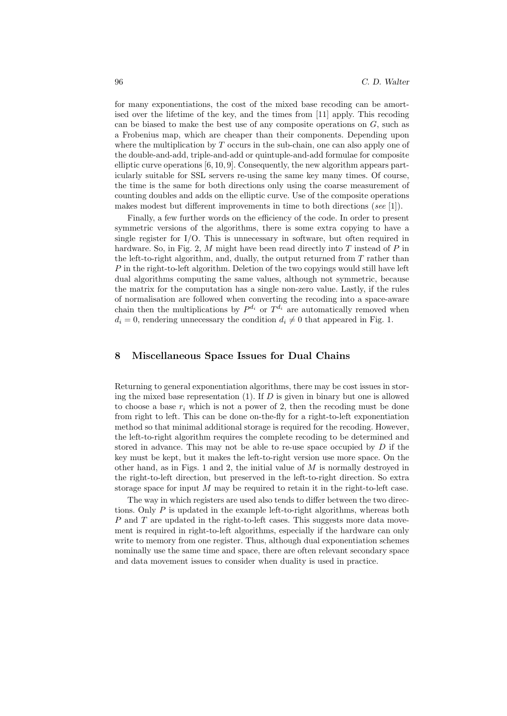for many exponentiations, the cost of the mixed base recoding can be amortised over the lifetime of the key, and the times from [11] apply. This recoding can be biased to make the best use of any composite operations on  $G$ , such as a Frobenius map, which are cheaper than their components. Depending upon where the multiplication by  $T$  occurs in the sub-chain, one can also apply one of the double-and-add, triple-and-add or quintuple-and-add formulae for composite elliptic curve operations [6, 10, 9]. Consequently, the new algorithm appears particularly suitable for SSL servers re-using the same key many times. Of course, the time is the same for both directions only using the coarse measurement of counting doubles and adds on the elliptic curve. Use of the composite operations makes modest but different improvements in time to both directions (see [1]).

Finally, a few further words on the efficiency of the code. In order to present symmetric versions of the algorithms, there is some extra copying to have a single register for I/O. This is unnecessary in software, but often required in hardware. So, in Fig. 2, M might have been read directly into  $T$  instead of  $P$  in the left-to-right algorithm, and, dually, the output returned from  $T$  rather than P in the right-to-left algorithm. Deletion of the two copyings would still have left dual algorithms computing the same values, although not symmetric, because the matrix for the computation has a single non-zero value. Lastly, if the rules of normalisation are followed when converting the recoding into a space-aware chain then the multiplications by  $P^{d_i}$  or  $T^{d_i}$  are automatically removed when  $d_i = 0$ , rendering unnecessary the condition  $d_i \neq 0$  that appeared in Fig. 1.

## 8 Miscellaneous Space Issues for Dual Chains

Returning to general exponentiation algorithms, there may be cost issues in storing the mixed base representation  $(1)$ . If D is given in binary but one is allowed to choose a base  $r_i$  which is not a power of 2, then the recoding must be done from right to left. This can be done on-the-fly for a right-to-left exponentiation method so that minimal additional storage is required for the recoding. However, the left-to-right algorithm requires the complete recoding to be determined and stored in advance. This may not be able to re-use space occupied by  $D$  if the key must be kept, but it makes the left-to-right version use more space. On the other hand, as in Figs. 1 and 2, the initial value of  $M$  is normally destroyed in the right-to-left direction, but preserved in the left-to-right direction. So extra storage space for input M may be required to retain it in the right-to-left case.

The way in which registers are used also tends to differ between the two directions. Only  $P$  is updated in the example left-to-right algorithms, whereas both P and T are updated in the right-to-left cases. This suggests more data movement is required in right-to-left algorithms, especially if the hardware can only write to memory from one register. Thus, although dual exponentiation schemes nominally use the same time and space, there are often relevant secondary space and data movement issues to consider when duality is used in practice.